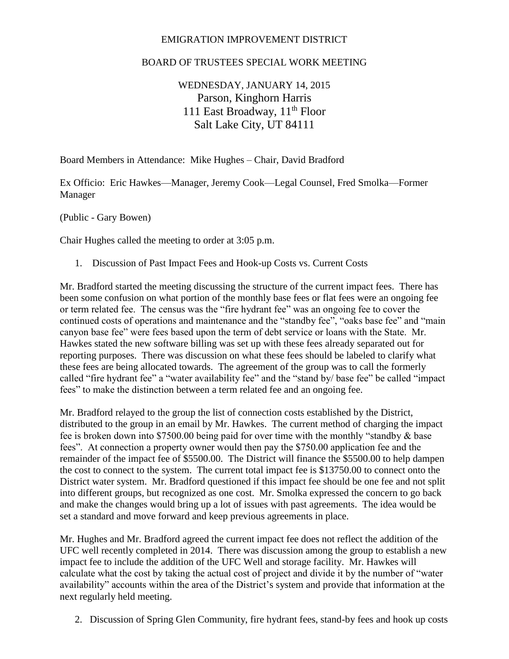## EMIGRATION IMPROVEMENT DISTRICT

## BOARD OF TRUSTEES SPECIAL WORK MEETING

## WEDNESDAY, JANUARY 14, 2015 Parson, Kinghorn Harris 111 East Broadway, 11<sup>th</sup> Floor Salt Lake City, UT 84111

Board Members in Attendance: Mike Hughes – Chair, David Bradford

Ex Officio: Eric Hawkes—Manager, Jeremy Cook—Legal Counsel, Fred Smolka—Former Manager

(Public - Gary Bowen)

Chair Hughes called the meeting to order at 3:05 p.m.

1. Discussion of Past Impact Fees and Hook-up Costs vs. Current Costs

Mr. Bradford started the meeting discussing the structure of the current impact fees. There has been some confusion on what portion of the monthly base fees or flat fees were an ongoing fee or term related fee. The census was the "fire hydrant fee" was an ongoing fee to cover the continued costs of operations and maintenance and the "standby fee", "oaks base fee" and "main canyon base fee" were fees based upon the term of debt service or loans with the State. Mr. Hawkes stated the new software billing was set up with these fees already separated out for reporting purposes. There was discussion on what these fees should be labeled to clarify what these fees are being allocated towards. The agreement of the group was to call the formerly called "fire hydrant fee" a "water availability fee" and the "stand by/ base fee" be called "impact fees" to make the distinction between a term related fee and an ongoing fee.

Mr. Bradford relayed to the group the list of connection costs established by the District, distributed to the group in an email by Mr. Hawkes. The current method of charging the impact fee is broken down into \$7500.00 being paid for over time with the monthly "standby & base fees". At connection a property owner would then pay the \$750.00 application fee and the remainder of the impact fee of \$5500.00. The District will finance the \$5500.00 to help dampen the cost to connect to the system. The current total impact fee is \$13750.00 to connect onto the District water system. Mr. Bradford questioned if this impact fee should be one fee and not split into different groups, but recognized as one cost. Mr. Smolka expressed the concern to go back and make the changes would bring up a lot of issues with past agreements. The idea would be set a standard and move forward and keep previous agreements in place.

Mr. Hughes and Mr. Bradford agreed the current impact fee does not reflect the addition of the UFC well recently completed in 2014. There was discussion among the group to establish a new impact fee to include the addition of the UFC Well and storage facility. Mr. Hawkes will calculate what the cost by taking the actual cost of project and divide it by the number of "water availability" accounts within the area of the District's system and provide that information at the next regularly held meeting.

2. Discussion of Spring Glen Community, fire hydrant fees, stand-by fees and hook up costs